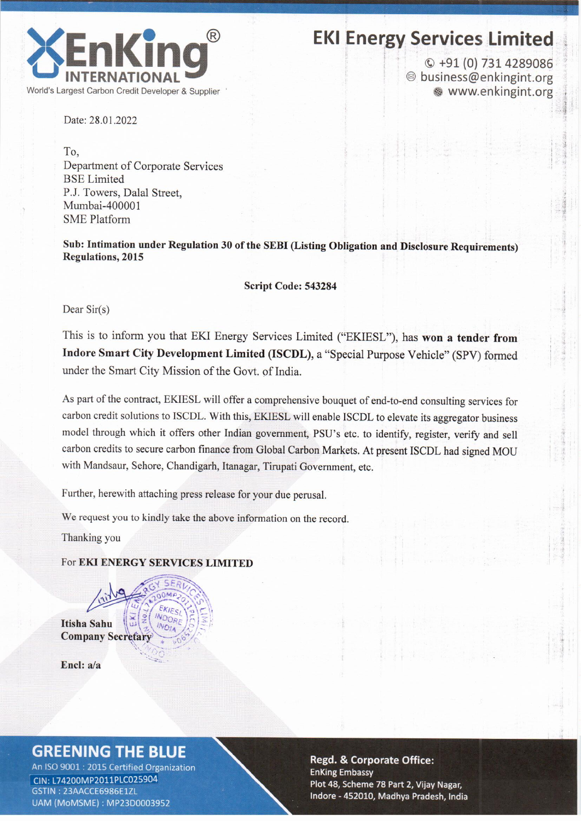

# **EKI Energy Services Limited**

 $Q + 91(0)$  731 4289086 <sup>◎</sup> business@enkingint.org www.enkingint.org

Date: 28.01.2022

To. Department of Corporate Services **BSE** Limited P.J. Towers, Dalal Street. Mumbai-400001 **SME** Platform

Sub: Intimation under Regulation 30 of the SEBI (Listing Obligation and Disclosure Requirements) **Regulations, 2015** 

Script Code: 543284

Dear  $Sir(s)$ 

This is to inform you that EKI Energy Services Limited ("EKIESL"), has won a tender from Indore Smart City Development Limited (ISCDL), a "Special Purpose Vehicle" (SPV) formed under the Smart City Mission of the Govt. of India.

As part of the contract, EKIESL will offer a comprehensive bouquet of end-to-end consulting services for carbon credit solutions to ISCDL. With this, EKIESL will enable ISCDL to elevate its aggregator business model through which it offers other Indian government, PSU's etc. to identify, register, verify and sell carbon credits to secure carbon finance from Global Carbon Markets. At present ISCDL had signed MOU with Mandsaur, Sehore, Chandigarh, Itanagar, Tirupati Government, etc.

Further, herewith attaching press release for your due perusal.

We request you to kindly take the above information on the record.

Thanking you

### For EKI ENERGY SERVICES LIMITED

**INDOR** 

Itisha Sahu **Company Secretary** 

Encl: a/a

# **GREENING THE BLUE**

An ISO 9001 : 2015 Certified Organization CIN: L74200MP2011PLC025904 GSTIN: 23AACCE6986E1ZL UAM (MoMSME): MP23D0003952

#### **Regd. & Corporate Office: EnKing Embassy** Plot 48, Scheme 78 Part 2, Vijay Nagar, Indore - 452010, Madhya Pradesh, India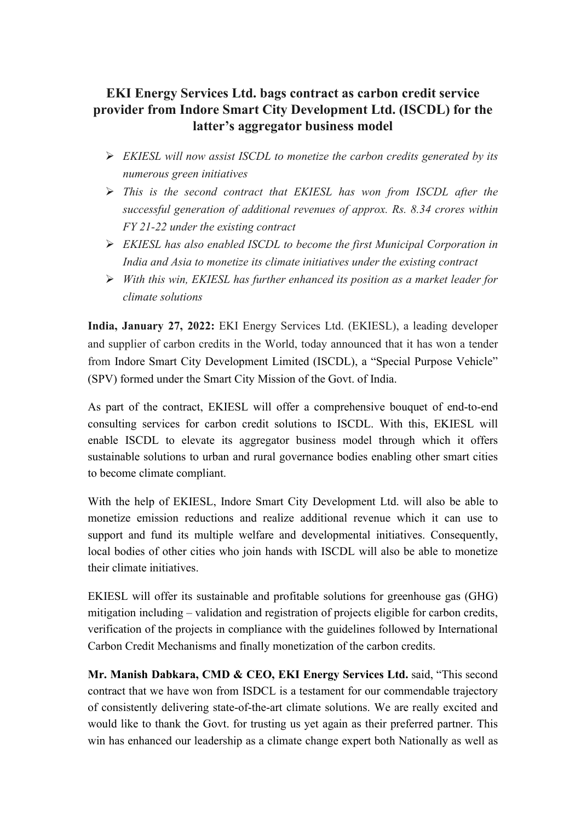## **EKI Energy Services Ltd. bags contract as carbon credit service provider from Indore Smart City Development Ltd. (ISCDL) for the latter's aggregator business model**

- *EKIESL will now assist ISCDL to monetize the carbon credits generated by its numerous green initiatives*
- *This is the second contract that EKIESL has won from ISCDL after the successful generation of additional revenues of approx. Rs. 8.34 crores within FY 21-22 under the existing contract*
- *EKIESL has also enabled ISCDL to become the first Municipal Corporation in India and Asia to monetize its climate initiatives under the existing contract*
- *With this win, EKIESL has further enhanced its position as a market leader for climate solutions*

**India, January 27, 2022:** EKI Energy Services Ltd. (EKIESL), a leading developer and supplier of carbon credits in the World, today announced that it has won a tender from Indore Smart City Development Limited (ISCDL), a "Special Purpose Vehicle" (SPV) formed under the Smart City Mission of the Govt. of India.

As part of the contract, EKIESL will offer a comprehensive bouquet of end-to-end consulting services for carbon credit solutions to ISCDL. With this, EKIESL will enable ISCDL to elevate its aggregator business model through which it offers sustainable solutions to urban and rural governance bodies enabling other smart cities to become climate compliant.

With the help of EKIESL, Indore Smart City Development Ltd. will also be able to monetize emission reductions and realize additional revenue which it can use to support and fund its multiple welfare and developmental initiatives. Consequently, local bodies of other cities who join hands with ISCDL will also be able to monetize their climate initiatives.

EKIESL will offer its sustainable and profitable solutions for greenhouse gas (GHG) mitigation including – validation and registration of projects eligible for carbon credits, verification of the projects in compliance with the guidelines followed by International Carbon Credit Mechanisms and finally monetization of the carbon credits.

**Mr. Manish Dabkara, CMD & CEO, EKI Energy Services Ltd.** said, "This second contract that we have won from ISDCL is a testament for our commendable trajectory of consistently delivering state-of-the-art climate solutions. We are really excited and would like to thank the Govt. for trusting us yet again as their preferred partner. This win has enhanced our leadership as a climate change expert both Nationally as well as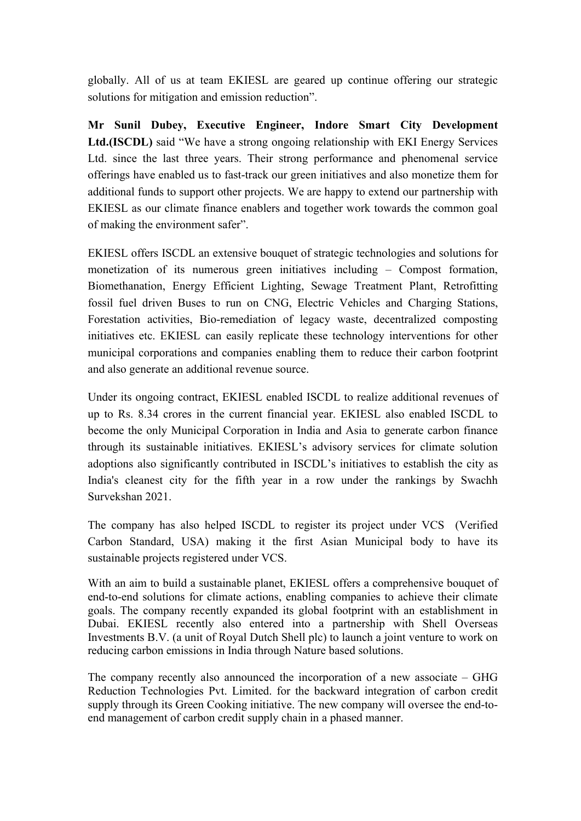globally. All of us at team EKIESL are geared up continue offering our strategic solutions for mitigation and emission reduction".

**Mr Sunil Dubey, Executive Engineer, Indore Smart City Development Ltd.(ISCDL)** said "We have a strong ongoing relationship with EKI Energy Services Ltd. since the last three years. Their strong performance and phenomenal service offerings have enabled us to fast-track our green initiatives and also monetize them for additional funds to support other projects. We are happy to extend our partnership with EKIESL as our climate finance enablers and together work towards the common goal of making the environment safer".

EKIESL offers ISCDL an extensive bouquet of strategic technologies and solutions for monetization of its numerous green initiatives including – Compost formation, Biomethanation, Energy Efficient Lighting, Sewage Treatment Plant, Retrofitting fossil fuel driven Buses to run on CNG, Electric Vehicles and Charging Stations, Forestation activities, Bio-remediation of legacy waste, decentralized composting initiatives etc. EKIESL can easily replicate these technology interventions for other municipal corporations and companies enabling them to reduce their carbon footprint and also generate an additional revenue source.

Under its ongoing contract, EKIESL enabled ISCDL to realize additional revenues of up to Rs. 8.34 crores in the current financial year. EKIESL also enabled ISCDL to become the only Municipal Corporation in India and Asia to generate carbon finance through its sustainable initiatives. EKIESL's advisory services for climate solution adoptions also significantly contributed in ISCDL's initiatives to establish the city as India's cleanest city for the fifth year in a row under the rankings by Swachh Survekshan 2021.

The company has also helped ISCDL to register its project under VCS (Verified Carbon Standard, USA) making it the first Asian Municipal body to have its sustainable projects registered under VCS.

With an aim to build a sustainable planet, EKIESL offers a comprehensive bouquet of end-to-end solutions for climate actions, enabling companies to achieve their climate goals. The company recently expanded its global footprint with an establishment in Dubai. EKIESL recently also entered into a partnership with Shell Overseas Investments B.V. (a unit of Royal Dutch Shell plc) to launch a joint venture to work on reducing carbon emissions in India through Nature based solutions.

The company recently also announced the incorporation of a new associate – GHG Reduction Technologies Pvt. Limited. for the backward integration of carbon credit supply through its Green Cooking initiative. The new company will oversee the end-toend management of carbon credit supply chain in a phased manner.